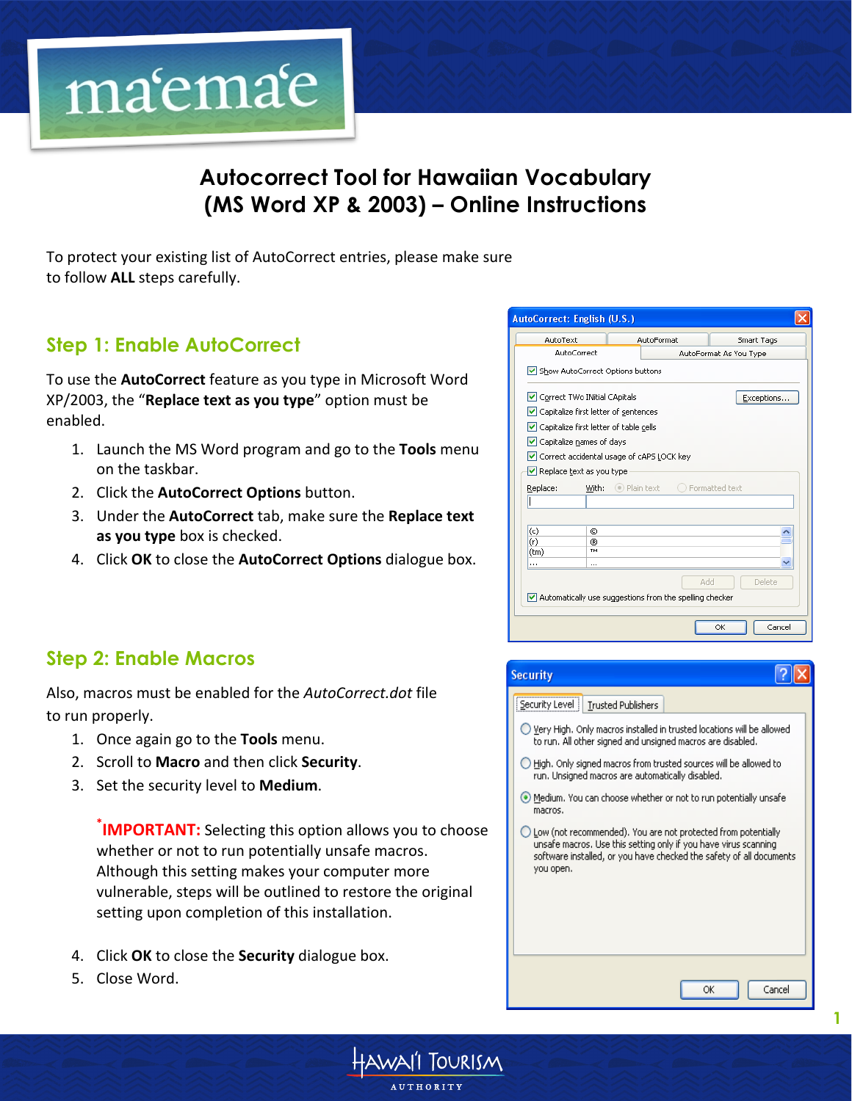

# **Autocorrect Tool for Hawaiian Vocabulary (MS Word XP & 2003) – Online Instructions**

To protect your existing list of AutoCorrect entries, please make sure to follow **ALL** steps carefully.

# **Step 1: Enable AutoCorrect**

To use the **AutoCorrect** feature as you type in Microsoft Word XP/2003, the "**Replace text as you type**" option must be enabled.

- 1. Launch the MS Word program and go to the **Tools** menu on the taskbar.
- 2. Click the **AutoCorrect Options** button.
- 3. Under the **AutoCorrect** tab, make sure the **Replace text** as you type box is checked.
- 4. Click OK to close the **AutoCorrect Options** dialogue box.

|          | AutoText                                    | <b>AutoFormat</b>                                              | Smart Tags             |
|----------|---------------------------------------------|----------------------------------------------------------------|------------------------|
|          | <b>AutoCorrect</b>                          |                                                                | AutoFormat As You Type |
|          | Show AutoCorrect Options buttons            |                                                                |                        |
|          | Correct TWo INitial CApitals                |                                                                | Exceptions             |
|          | Capitalize first letter of sentences        |                                                                |                        |
|          | Capitalize first letter of table cells      |                                                                |                        |
|          | ✔ Capitalize names of days                  |                                                                |                        |
|          |                                             |                                                                |                        |
|          |                                             |                                                                |                        |
|          | O Correct accidental usage of cAPS LOCK key |                                                                |                        |
|          | Replace text as you type                    |                                                                |                        |
| Replace: | With:                                       | $\circ$ ) Plain text                                           | ◯ Formatted text       |
|          |                                             |                                                                |                        |
|          |                                             |                                                                |                        |
| (c)      | $\odot$                                     |                                                                |                        |
| (r)      | ®                                           |                                                                |                        |
| (tm)     | TM                                          |                                                                |                        |
|          | .                                           |                                                                |                        |
|          |                                             |                                                                | Delete                 |
|          |                                             | $\vee$ Automatically use suggestions from the spelling checker | Add                    |

# **Step 2: Enable Macros**

Also, macros must be enabled for the *AutoCorrect.dot* file to run properly.

- 1. Once again go to the **Tools** menu.
- 2. Scroll to **Macro** and then click **Security**.
- 3. Set the security level to **Medium**.

**\*IMPORTANT:** Selecting this option allows you to choose whether or not to run potentially unsafe macros. Although this setting makes your computer more vulnerable, steps will be outlined to restore the original setting upon completion of this installation.

- 4. Click OK to close the **Security** dialogue box.
- 5. Close Word.





**1**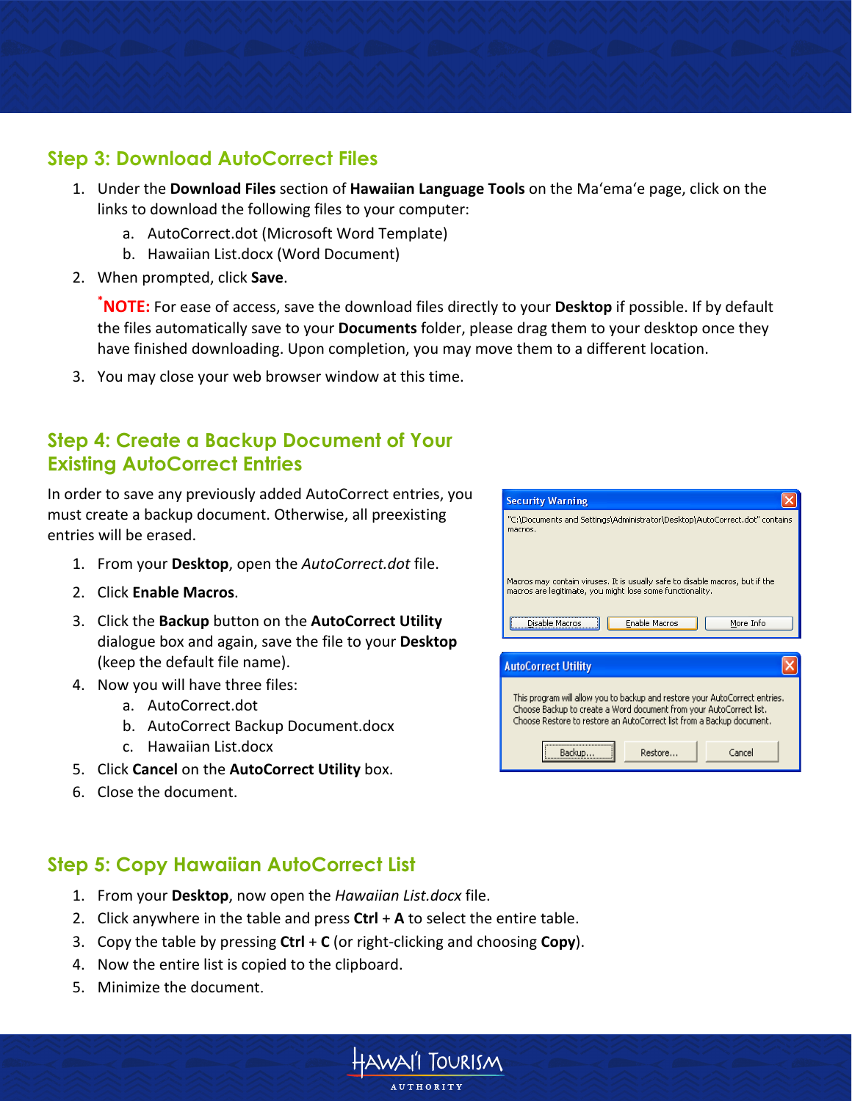#### **Step 3: Download AutoCorrect Files**

- 1. Under the **Download Files** section of **Hawaiian Language Tools** on the Ma'ema'e page, click on the links to download the following files to your computer:
	- a. AutoCorrect.dot (Microsoft Word Template)
	- b. Hawaiian List.docx (Word Document)
- 2. When prompted, click **Save**.

**\*NOTE:** For ease of access, save the download files directly to your **Desktop** if possible. If by default the files automatically save to your **Documents** folder, please drag them to your desktop once they have finished downloading. Upon completion, you may move them to a different location.

3. You may close your web browser window at this time.

## **Step 4: Create a Backup Document of Your Existing AutoCorrect Entries**

In order to save any previously added AutoCorrect entries, you must create a backup document. Otherwise, all preexisting entries will be erased.

- 1. From your **Desktop**, open the *AutoCorrect.dot* file.
- 2. Click#**Enable)Macros**.
- 3. Click the **Backup** button on the **AutoCorrect Utility** dialogue box and again, save the file to your **Desktop** (keep the default file name).
- 4. Now you will have three files:
	- a. AutoCorrect.dot
	- b. AutoCorrect Backup Document.docx
	- c. Hawaiian List.docx
- 5. Click **Cancel** on the **AutoCorrect Utility** box.
- 6. Close the document.

# **Step 5: Copy Hawaiian AutoCorrect List**

- 1. From your **Desktop**, now open the *Hawaiian List.docx* file.
- 2. Click anywhere in the table and press  $Ctrl + A$  to select the entire table.
- 3. Copy the table by pressing **Ctrl** + **C** (or right-clicking and choosing **Copy**).
- 4. Now the entire list is copied to the clipboard.
- 5. Minimize the document.